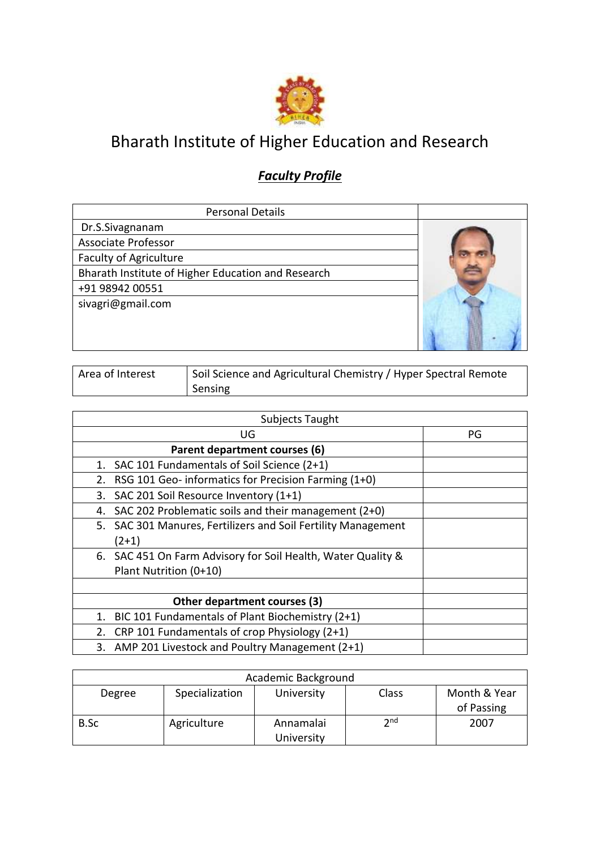

## Bharath Institute of Higher Education and Research

## *Faculty Profile*

| <b>Personal Details</b>                            |  |
|----------------------------------------------------|--|
| Dr.S.Sivagnanam                                    |  |
| <b>Associate Professor</b>                         |  |
| <b>Faculty of Agriculture</b>                      |  |
| Bharath Institute of Higher Education and Research |  |
| +91 98942 00551                                    |  |
| sivagri@gmail.com                                  |  |
|                                                    |  |
|                                                    |  |
|                                                    |  |

| Area of Interest | Soil Science and Agricultural Chemistry / Hyper Spectral Remote |
|------------------|-----------------------------------------------------------------|
|                  | Sensing                                                         |

| Subjects Taught                                               |    |
|---------------------------------------------------------------|----|
| UG                                                            | PG |
| Parent department courses (6)                                 |    |
| SAC 101 Fundamentals of Soil Science (2+1)<br>1.              |    |
| RSG 101 Geo- informatics for Precision Farming (1+0)<br>2.    |    |
| SAC 201 Soil Resource Inventory (1+1)<br>3.                   |    |
| SAC 202 Problematic soils and their management (2+0)<br>4.    |    |
| 5. SAC 301 Manures, Fertilizers and Soil Fertility Management |    |
| $(2+1)$                                                       |    |
| 6. SAC 451 On Farm Advisory for Soil Health, Water Quality &  |    |
| Plant Nutrition (0+10)                                        |    |
|                                                               |    |
| Other department courses (3)                                  |    |
| BIC 101 Fundamentals of Plant Biochemistry (2+1)<br>1.        |    |
| CRP 101 Fundamentals of crop Physiology (2+1)<br>2.           |    |
| 3. AMP 201 Livestock and Poultry Management (2+1)             |    |

|             |                | Academic Background     |                 |                            |
|-------------|----------------|-------------------------|-----------------|----------------------------|
| Degree      | Specialization | University              | Class           | Month & Year<br>of Passing |
| <b>B.Sc</b> | Agriculture    | Annamalai<br>University | 2 <sub>nd</sub> | 2007                       |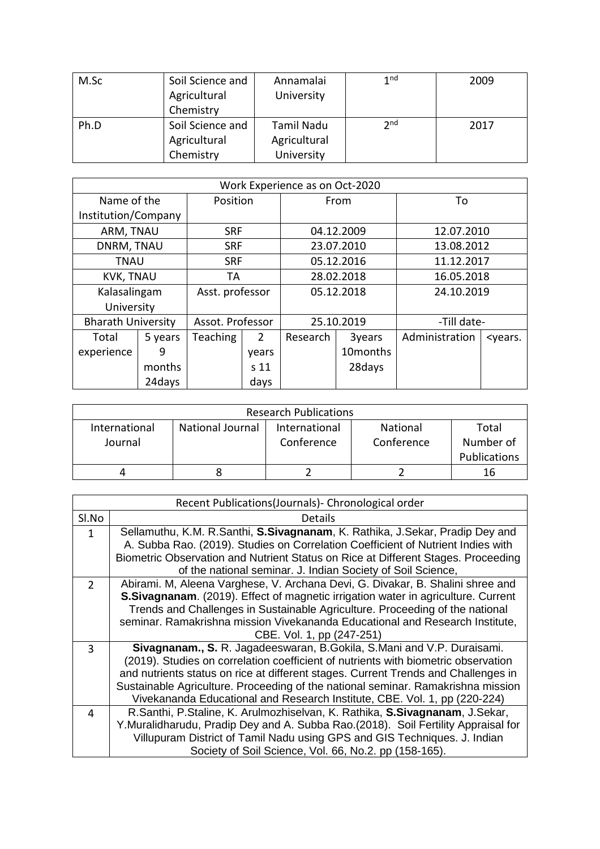| M.Sc | Soil Science and<br>Agricultural<br>Chemistry | Annamalai<br>University | 1 <sub>nd</sub> | 2009 |
|------|-----------------------------------------------|-------------------------|-----------------|------|
| Ph.D | Soil Science and                              | Tamil Nadu              | 2 <sub>nd</sub> | 2017 |
|      | Agricultural                                  | Agricultural            |                 |      |
|      | Chemistry                                     | University              |                 |      |

|                           | Work Experience as on Oct-2020 |                  |                 |            |                      |                |                           |  |
|---------------------------|--------------------------------|------------------|-----------------|------------|----------------------|----------------|---------------------------|--|
| Name of the               |                                | Position         |                 | From       |                      | To             |                           |  |
| Institution/Company       |                                |                  |                 |            |                      |                |                           |  |
| ARM, TNAU                 |                                | <b>SRF</b>       |                 | 04.12.2009 |                      | 12.07.2010     |                           |  |
| DNRM, TNAU                |                                | <b>SRF</b>       |                 |            | 23.07.2010           |                | 13.08.2012                |  |
| TNAU                      |                                | <b>SRF</b>       |                 |            | 05.12.2016           | 11.12.2017     |                           |  |
| <b>KVK, TNAU</b>          |                                | TА               |                 | 28.02.2018 |                      | 16.05.2018     |                           |  |
| Kalasalingam              |                                | Asst. professor  |                 | 05.12.2018 |                      | 24.10.2019     |                           |  |
| University                |                                |                  |                 |            |                      |                |                           |  |
| <b>Bharath University</b> |                                | Assot. Professor |                 | 25.10.2019 |                      | -Till date-    |                           |  |
| Total                     | 5 years                        | Teaching         | $\mathcal{P}$   | Research   | 3years               | Administration | <years.< td=""></years.<> |  |
| experience                | 9                              |                  | years           |            | 10 <sub>months</sub> |                |                           |  |
|                           | months                         |                  | s <sub>11</sub> |            | 28days               |                |                           |  |
|                           | 24days                         |                  | days            |            |                      |                |                           |  |

|                          |                         | <b>Research Publications</b> |                        |                                           |
|--------------------------|-------------------------|------------------------------|------------------------|-------------------------------------------|
| International<br>Journal | <b>National Journal</b> | International<br>Conference  | National<br>Conference | Total<br>Number of<br><b>Publications</b> |
|                          |                         |                              |                        | 16                                        |

|              | Recent Publications(Journals) - Chronological order                                      |
|--------------|------------------------------------------------------------------------------------------|
| Sl.No        | Details                                                                                  |
| $\mathbf{1}$ | Sellamuthu, K.M. R.Santhi, S.Sivagnanam, K. Rathika, J.Sekar, Pradip Dey and             |
|              | A. Subba Rao. (2019). Studies on Correlation Coefficient of Nutrient Indies with         |
|              | Biometric Observation and Nutrient Status on Rice at Different Stages. Proceeding        |
|              | of the national seminar. J. Indian Society of Soil Science,                              |
| 2            | Abirami. M, Aleena Varghese, V. Archana Devi, G. Divakar, B. Shalini shree and           |
|              | <b>S.Sivagnanam.</b> (2019). Effect of magnetic irrigation water in agriculture. Current |
|              | Trends and Challenges in Sustainable Agriculture. Proceeding of the national             |
|              | seminar. Ramakrishna mission Vivekananda Educational and Research Institute,             |
|              | CBE. Vol. 1, pp (247-251)                                                                |
| 3            | Sivagnanam., S. R. Jagadeeswaran, B. Gokila, S. Mani and V.P. Duraisami.                 |
|              | (2019). Studies on correlation coefficient of nutrients with biometric observation       |
|              | and nutrients status on rice at different stages. Current Trends and Challenges in       |
|              | Sustainable Agriculture. Proceeding of the national seminar. Ramakrishna mission         |
|              | Vivekananda Educational and Research Institute, CBE. Vol. 1, pp (220-224)                |
| 4            | R.Santhi, P.Staline, K. Arulmozhiselvan, K. Rathika, S.Sivagnanam, J.Sekar,              |
|              | Y.Muralidharudu, Pradip Dey and A. Subba Rao. (2018). Soil Fertility Appraisal for       |
|              | Villupuram District of Tamil Nadu using GPS and GIS Techniques. J. Indian                |
|              | Society of Soil Science, Vol. 66, No.2. pp (158-165).                                    |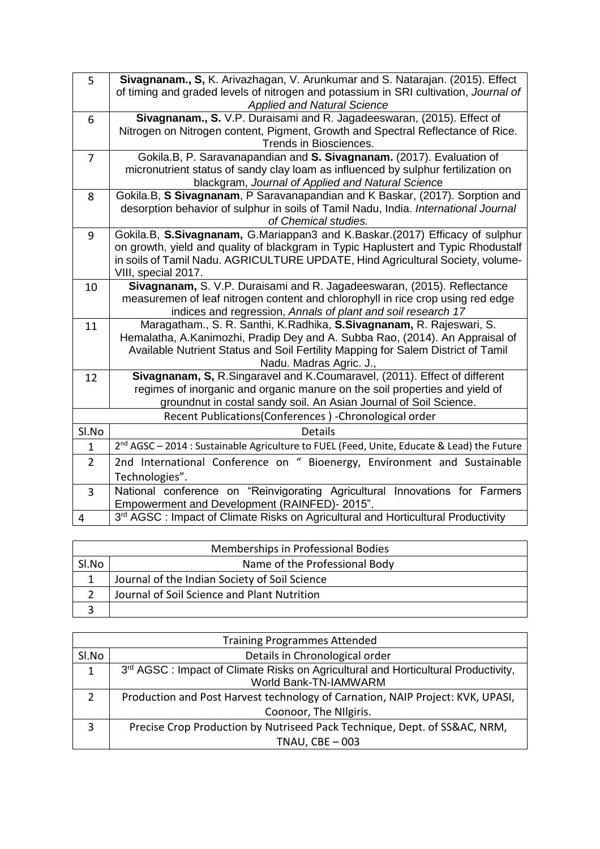| 5              | Sivagnanam., S, K. Arivazhagan, V. Arunkumar and S. Natarajan. (2015). Effect<br>of timing and graded levels of nitrogen and potassium in SRI cultivation, Journal of |
|----------------|-----------------------------------------------------------------------------------------------------------------------------------------------------------------------|
|                | <b>Applied and Natural Science</b>                                                                                                                                    |
| 6              | Sivagnanam., S. V.P. Duraisami and R. Jagadeeswaran, (2015). Effect of                                                                                                |
|                | Nitrogen on Nitrogen content, Pigment, Growth and Spectral Reflectance of Rice.<br>Trends in Biosciences.                                                             |
| $\overline{7}$ | Gokila.B, P. Saravanapandian and S. Sivagnanam. (2017). Evaluation of                                                                                                 |
|                | micronutrient status of sandy clay loam as influenced by sulphur fertilization on                                                                                     |
|                | blackgram, Journal of Applied and Natural Science                                                                                                                     |
| 8              | Gokila.B, S Sivagnanam, P Saravanapandian and K Baskar, (2017). Sorption and                                                                                          |
|                | desorption behavior of sulphur in soils of Tamil Nadu, India. International Journal<br>of Chemical studies.                                                           |
| 9              | Gokila.B, S.Sivagnanam, G.Mariappan3 and K.Baskar.(2017) Efficacy of sulphur                                                                                          |
|                | on growth, yield and quality of blackgram in Typic Haplustert and Typic Rhodustalf                                                                                    |
|                | in soils of Tamil Nadu. AGRICULTURE UPDATE, Hind Agricultural Society, volume-                                                                                        |
|                | VIII, special 2017.                                                                                                                                                   |
| 10             | Sivagnanam, S. V.P. Duraisami and R. Jagadeeswaran, (2015). Reflectance                                                                                               |
|                | measuremen of leaf nitrogen content and chlorophyll in rice crop using red edge                                                                                       |
|                | indices and regression, Annals of plant and soil research 17                                                                                                          |
| 11             | Maragatham., S. R. Santhi, K. Radhika, S. Sivagnanam, R. Rajeswari, S.                                                                                                |
|                | Hemalatha, A.Kanimozhi, Pradip Dey and A. Subba Rao, (2014). An Appraisal of                                                                                          |
|                | Available Nutrient Status and Soil Fertility Mapping for Salem District of Tamil                                                                                      |
|                | Nadu. Madras Agric. J.,                                                                                                                                               |
| 12             | Sivagnanam, S, R.Singaravel and K.Coumaravel, (2011). Effect of different                                                                                             |
|                | regimes of inorganic and organic manure on the soil properties and yield of                                                                                           |
|                | groundnut in costal sandy soil. An Asian Journal of Soil Science.                                                                                                     |
|                | Recent Publications(Conferences) - Chronological order                                                                                                                |
| Sl.No          | <b>Details</b>                                                                                                                                                        |
| $\mathbf{1}$   | 2 <sup>nd</sup> AGSC - 2014 : Sustainable Agriculture to FUEL (Feed, Unite, Educate & Lead) the Future                                                                |
| $\overline{2}$ | 2nd International Conference on " Bioenergy, Environment and Sustainable                                                                                              |
|                | Technologies".                                                                                                                                                        |
| 3              | National conference on "Reinvigorating Agricultural Innovations for Farmers                                                                                           |
|                | Empowerment and Development (RAINFED)- 2015".                                                                                                                         |
| 4              | 3rd AGSC: Impact of Climate Risks on Agricultural and Horticultural Productivity                                                                                      |

| Memberships in Professional Bodies |                                               |  |  |
|------------------------------------|-----------------------------------------------|--|--|
| Sl.No                              | Name of the Professional Body                 |  |  |
|                                    | Journal of the Indian Society of Soil Science |  |  |
|                                    | Journal of Soil Science and Plant Nutrition   |  |  |
|                                    |                                               |  |  |

| <b>Training Programmes Attended</b> |                                                                                    |  |  |  |
|-------------------------------------|------------------------------------------------------------------------------------|--|--|--|
| SI.No                               | Details in Chronological order                                                     |  |  |  |
| 1                                   | 3rd AGSC : Impact of Climate Risks on Agricultural and Horticultural Productivity, |  |  |  |
|                                     | World Bank-TN-IAMWARM                                                              |  |  |  |
| $\overline{2}$                      | Production and Post Harvest technology of Carnation, NAIP Project: KVK, UPASI,     |  |  |  |
|                                     | Coonoor, The NIlgiris.                                                             |  |  |  |
| 3                                   | Precise Crop Production by Nutriseed Pack Technique, Dept. of SS&AC, NRM,          |  |  |  |
|                                     | TNAU, $CBE - 003$                                                                  |  |  |  |